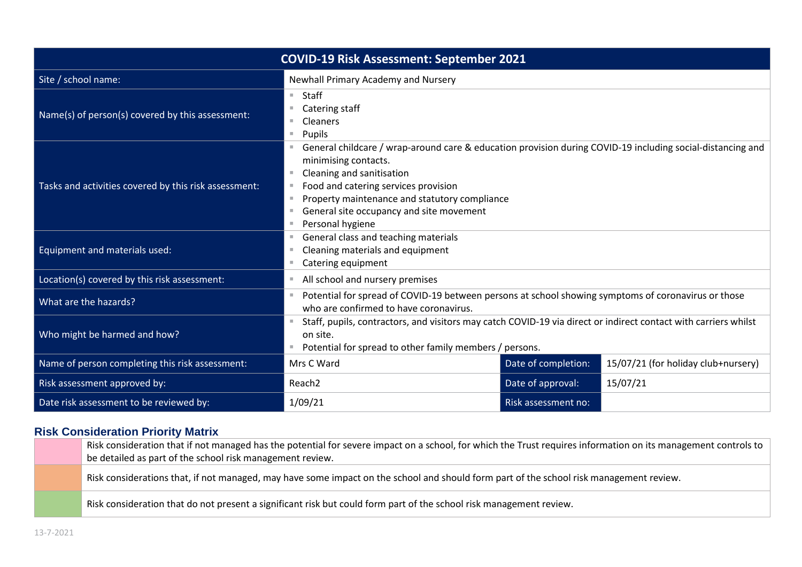| <b>COVID-19 Risk Assessment: September 2021</b>           |                                                                                                                                                                                                                                                                                                                                                         |  |  |  |
|-----------------------------------------------------------|---------------------------------------------------------------------------------------------------------------------------------------------------------------------------------------------------------------------------------------------------------------------------------------------------------------------------------------------------------|--|--|--|
| Site / school name:                                       | Newhall Primary Academy and Nursery                                                                                                                                                                                                                                                                                                                     |  |  |  |
| Name(s) of person(s) covered by this assessment:          | $\blacksquare$ Staff<br>$\blacksquare$ Catering staff<br>$\blacksquare$ Cleaners<br>Pupils                                                                                                                                                                                                                                                              |  |  |  |
| Tasks and activities covered by this risk assessment:     | General childcare / wrap-around care & education provision during COVID-19 including social-distancing and<br>minimising contacts.<br>Cleaning and sanitisation<br>Food and catering services provision<br>Property maintenance and statutory compliance<br>General site occupancy and site movement<br>Personal hygiene<br>$\mathcal{L}_{\mathcal{A}}$ |  |  |  |
| Equipment and materials used:                             | ■ General class and teaching materials<br>Cleaning materials and equipment<br>■ Catering equipment                                                                                                                                                                                                                                                      |  |  |  |
| Location(s) covered by this risk assessment:              | All school and nursery premises                                                                                                                                                                                                                                                                                                                         |  |  |  |
| What are the hazards?<br>Who might be harmed and how?     | Potential for spread of COVID-19 between persons at school showing symptoms of coronavirus or those<br>who are confirmed to have coronavirus.<br>Staff, pupils, contractors, and visitors may catch COVID-19 via direct or indirect contact with carriers whilst<br>on site.                                                                            |  |  |  |
| • Potential for spread to other family members / persons. |                                                                                                                                                                                                                                                                                                                                                         |  |  |  |
| Name of person completing this risk assessment:           | Date of completion:<br>15/07/21 (for holiday club+nursery)<br>Mrs C Ward                                                                                                                                                                                                                                                                                |  |  |  |
| Risk assessment approved by:                              | Date of approval:<br>15/07/21<br>Reach <sub>2</sub>                                                                                                                                                                                                                                                                                                     |  |  |  |
| Date risk assessment to be reviewed by:                   | 1/09/21<br>Risk assessment no:                                                                                                                                                                                                                                                                                                                          |  |  |  |

### **Risk Consideration Priority Matrix**

| Risk consideration that if not managed has the potential for severe impact on a school, for which the Trust requires information on its management controls to<br>$\overline{a}$ be detailed as part of the school risk management review. |
|--------------------------------------------------------------------------------------------------------------------------------------------------------------------------------------------------------------------------------------------|
| Risk considerations that, if not managed, may have some impact on the school and should form part of the school risk management review.                                                                                                    |
| Risk consideration that do not present a significant risk but could form part of the school risk management review.                                                                                                                        |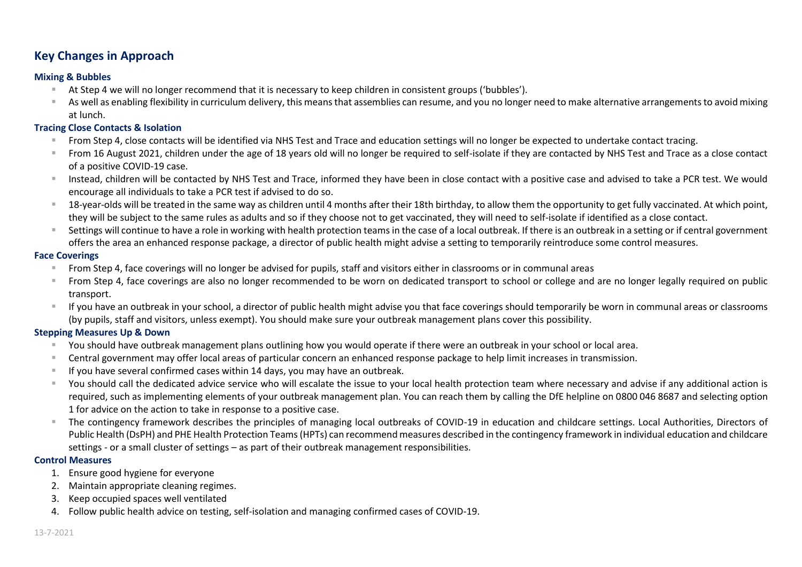## **Key Changes in Approach**

#### **Mixing & Bubbles**

- At Step 4 we will no longer recommend that it is necessary to keep children in consistent groups ('bubbles').
- As well as enabling flexibility in curriculum delivery, this means that assemblies can resume, and you no longer need to make alternative arrangements to avoid mixing at lunch.

#### **Tracing Close Contacts & Isolation**

- From Step 4, close contacts will be identified via NHS Test and Trace and education settings will no longer be expected to undertake contact tracing.
- From 16 August 2021, children under the age of 18 years old will no longer be required to self-isolate if they are contacted by NHS Test and Trace as a close contact of a positive COVID-19 case.
- Instead, children will be contacted by NHS Test and Trace, informed they have been in close contact with a positive case and advised to take a PCR test. We would encourage all individuals to take a PCR test if advised to do so.
- 18-vear-olds will be treated in the same way as children until 4 months after their 18th birthday, to allow them the opportunity to get fully vaccinated. At which point, they will be subject to the same rules as adults and so if they choose not to get vaccinated, they will need to self-isolate if identified as a close contact.
- Settings will continue to have a role in working with health protection teams in the case of a local outbreak. If there is an outbreak in a setting or if central government offers the area an enhanced response package, a director of public health might advise a setting to temporarily reintroduce some control measures.

#### **Face Coverings**

- From Step 4, face coverings will no longer be advised for pupils, staff and visitors either in classrooms or in communal areas
- From Step 4, face coverings are also no longer recommended to be worn on dedicated transport to school or college and are no longer legally required on public transport.
- If you have an outbreak in your school, a director of public health might advise you that face coverings should temporarily be worn in communal areas or classrooms (by pupils, staff and visitors, unless exempt). You should make sure your outbreak management plans cover this possibility.

#### **Stepping Measures Up & Down**

- You should have outbreak management plans outlining how you would operate if there were an outbreak in your school or local area.
- Central government may offer local areas of particular concern an enhanced response package to help limit increases in transmission.
- If you have several confirmed cases within 14 days, you may have an outbreak.
- You should call the dedicated advice service who will escalate the issue to your local health protection team where necessary and advise if any additional action is required, such as implementing elements of your outbreak management plan. You can reach them by calling the DfE helpline on 0800 046 8687 and selecting option 1 for advice on the action to take in response to a positive case.
- The contingency framework describes the principles of managing local outbreaks of COVID-19 in education and childcare settings. Local Authorities, Directors of Public Health (DsPH) and PHE Health Protection Teams (HPTs) can recommend measures described in the contingency framework in individual education and childcare settings - or a small cluster of settings – as part of their outbreak management responsibilities.

#### **Control Measures**

- 1. Ensure good hygiene for everyone
- 2. Maintain appropriate cleaning regimes.
- 3. Keep occupied spaces well ventilated
- 4. Follow public health advice on testing, self-isolation and managing confirmed cases of COVID-19.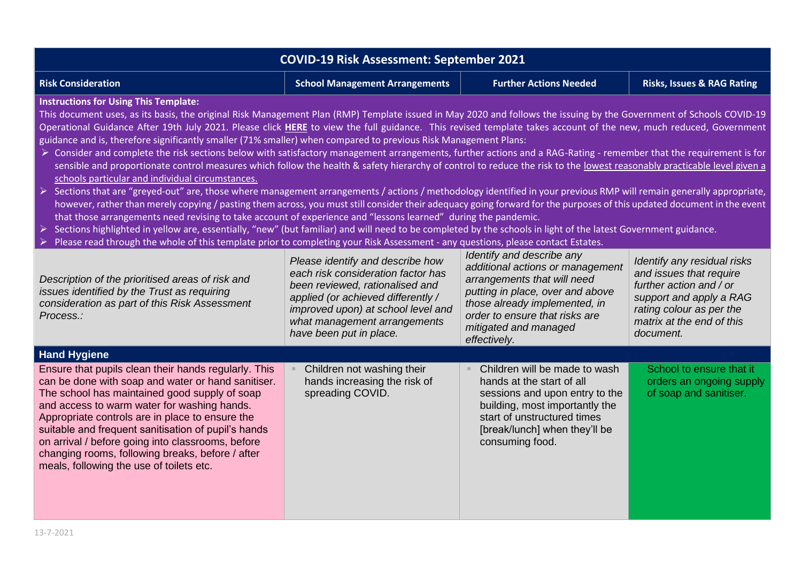| <b>COVID-19 Risk Assessment: September 2021</b>                                                                                                                                                                                                                                                                                                                                                                                                                                                                                                                                                                                                                                                                                                                                                                                                                                                                                                                                                                                                                                                                                                                                                                                                                                                                                                                                                                                                                                                                                                                                                                                                                                           |                                                                                                                                                                                                                                                  |                                                                                                                                                                                                                                              |                                                                                                                                                                                    |  |  |
|-------------------------------------------------------------------------------------------------------------------------------------------------------------------------------------------------------------------------------------------------------------------------------------------------------------------------------------------------------------------------------------------------------------------------------------------------------------------------------------------------------------------------------------------------------------------------------------------------------------------------------------------------------------------------------------------------------------------------------------------------------------------------------------------------------------------------------------------------------------------------------------------------------------------------------------------------------------------------------------------------------------------------------------------------------------------------------------------------------------------------------------------------------------------------------------------------------------------------------------------------------------------------------------------------------------------------------------------------------------------------------------------------------------------------------------------------------------------------------------------------------------------------------------------------------------------------------------------------------------------------------------------------------------------------------------------|--------------------------------------------------------------------------------------------------------------------------------------------------------------------------------------------------------------------------------------------------|----------------------------------------------------------------------------------------------------------------------------------------------------------------------------------------------------------------------------------------------|------------------------------------------------------------------------------------------------------------------------------------------------------------------------------------|--|--|
| <b>Risk Consideration</b>                                                                                                                                                                                                                                                                                                                                                                                                                                                                                                                                                                                                                                                                                                                                                                                                                                                                                                                                                                                                                                                                                                                                                                                                                                                                                                                                                                                                                                                                                                                                                                                                                                                                 | <b>Further Actions Needed</b><br><b>Risks, Issues &amp; RAG Rating</b><br><b>School Management Arrangements</b>                                                                                                                                  |                                                                                                                                                                                                                                              |                                                                                                                                                                                    |  |  |
| <b>Instructions for Using This Template:</b><br>This document uses, as its basis, the original Risk Management Plan (RMP) Template issued in May 2020 and follows the issuing by the Government of Schools COVID-19<br>Operational Guidance After 19th July 2021. Please click HERE to view the full guidance. This revised template takes account of the new, much reduced, Government<br>guidance and is, therefore significantly smaller (71% smaller) when compared to previous Risk Management Plans:<br>> Consider and complete the risk sections below with satisfactory management arrangements, further actions and a RAG-Rating - remember that the requirement is for<br>sensible and proportionate control measures which follow the health & safety hierarchy of control to reduce the risk to the lowest reasonably practicable level given a<br>schools particular and individual circumstances.<br>> Sections that are "greyed-out" are, those where management arrangements / actions / methodology identified in your previous RMP will remain generally appropriate,<br>however, rather than merely copying / pasting them across, you must still consider their adequacy going forward for the purposes of this updated document in the event<br>that those arrangements need revising to take account of experience and "lessons learned" during the pandemic.<br>Sections highlighted in yellow are, essentially, "new" (but familiar) and will need to be completed by the schools in light of the latest Government guidance.<br>Please read through the whole of this template prior to completing your Risk Assessment - any questions, please contact Estates. |                                                                                                                                                                                                                                                  |                                                                                                                                                                                                                                              |                                                                                                                                                                                    |  |  |
| Description of the prioritised areas of risk and<br>issues identified by the Trust as requiring<br>consideration as part of this Risk Assessment<br>Process.:                                                                                                                                                                                                                                                                                                                                                                                                                                                                                                                                                                                                                                                                                                                                                                                                                                                                                                                                                                                                                                                                                                                                                                                                                                                                                                                                                                                                                                                                                                                             | Please identify and describe how<br>each risk consideration factor has<br>been reviewed, rationalised and<br>applied (or achieved differently /<br>improved upon) at school level and<br>what management arrangements<br>have been put in place. | Identify and describe any<br>additional actions or management<br>arrangements that will need<br>putting in place, over and above<br>those already implemented, in<br>order to ensure that risks are<br>mitigated and managed<br>effectively. | Identify any residual risks<br>and issues that require<br>further action and / or<br>support and apply a RAG<br>rating colour as per the<br>matrix at the end of this<br>document. |  |  |
| <b>Hand Hygiene</b>                                                                                                                                                                                                                                                                                                                                                                                                                                                                                                                                                                                                                                                                                                                                                                                                                                                                                                                                                                                                                                                                                                                                                                                                                                                                                                                                                                                                                                                                                                                                                                                                                                                                       |                                                                                                                                                                                                                                                  |                                                                                                                                                                                                                                              |                                                                                                                                                                                    |  |  |
| Ensure that pupils clean their hands regularly. This<br>can be done with soap and water or hand sanitiser.<br>The school has maintained good supply of soap<br>and access to warm water for washing hands.<br>Appropriate controls are in place to ensure the<br>suitable and frequent sanitisation of pupil's hands<br>on arrival / before going into classrooms, before<br>changing rooms, following breaks, before / after<br>meals, following the use of toilets etc.                                                                                                                                                                                                                                                                                                                                                                                                                                                                                                                                                                                                                                                                                                                                                                                                                                                                                                                                                                                                                                                                                                                                                                                                                 | Children not washing their<br>hands increasing the risk of<br>spreading COVID.                                                                                                                                                                   | Children will be made to wash<br>hands at the start of all<br>sessions and upon entry to the<br>building, most importantly the<br>start of unstructured times<br>[break/lunch] when they'll be<br>consuming food.                            | School to ensure that it<br>orders an ongoing supply<br>of soap and sanitiser.                                                                                                     |  |  |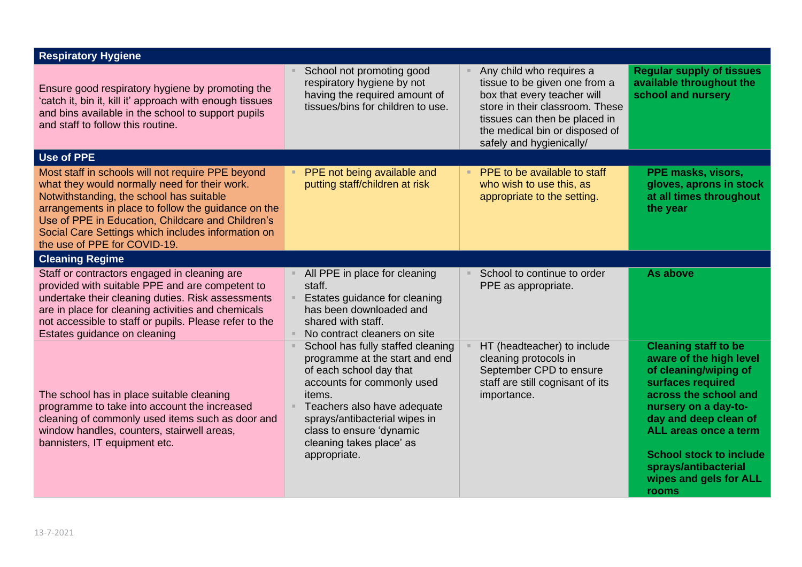| <b>Respiratory Hygiene</b>                                                                                                                                                                                                                                                                                                                       |                                                                                                                                                                                                                                                                                                 |                                                                                                                                                                                                                            |                                                                                                                                                                                                                                                                                                      |
|--------------------------------------------------------------------------------------------------------------------------------------------------------------------------------------------------------------------------------------------------------------------------------------------------------------------------------------------------|-------------------------------------------------------------------------------------------------------------------------------------------------------------------------------------------------------------------------------------------------------------------------------------------------|----------------------------------------------------------------------------------------------------------------------------------------------------------------------------------------------------------------------------|------------------------------------------------------------------------------------------------------------------------------------------------------------------------------------------------------------------------------------------------------------------------------------------------------|
| Ensure good respiratory hygiene by promoting the<br>'catch it, bin it, kill it' approach with enough tissues<br>and bins available in the school to support pupils<br>and staff to follow this routine.                                                                                                                                          | School not promoting good<br>respiratory hygiene by not<br>having the required amount of<br>tissues/bins for children to use.                                                                                                                                                                   | Any child who requires a<br>tissue to be given one from a<br>box that every teacher will<br>store in their classroom. These<br>tissues can then be placed in<br>the medical bin or disposed of<br>safely and hygienically/ | <b>Regular supply of tissues</b><br>available throughout the<br>school and nursery                                                                                                                                                                                                                   |
| <b>Use of PPE</b>                                                                                                                                                                                                                                                                                                                                |                                                                                                                                                                                                                                                                                                 |                                                                                                                                                                                                                            |                                                                                                                                                                                                                                                                                                      |
| Most staff in schools will not require PPE beyond<br>what they would normally need for their work.<br>Notwithstanding, the school has suitable<br>arrangements in place to follow the guidance on the<br>Use of PPE in Education, Childcare and Children's<br>Social Care Settings which includes information on<br>the use of PPE for COVID-19. | PPE not being available and<br>putting staff/children at risk                                                                                                                                                                                                                                   | PPE to be available to staff<br>$\mathbb{R}^+$<br>who wish to use this, as<br>appropriate to the setting.                                                                                                                  | PPE masks, visors,<br>gloves, aprons in stock<br>at all times throughout<br>the year                                                                                                                                                                                                                 |
| <b>Cleaning Regime</b>                                                                                                                                                                                                                                                                                                                           |                                                                                                                                                                                                                                                                                                 |                                                                                                                                                                                                                            |                                                                                                                                                                                                                                                                                                      |
| Staff or contractors engaged in cleaning are<br>provided with suitable PPE and are competent to<br>undertake their cleaning duties. Risk assessments<br>are in place for cleaning activities and chemicals<br>not accessible to staff or pupils. Please refer to the<br>Estates guidance on cleaning                                             | All PPE in place for cleaning<br>staff.<br>Estates guidance for cleaning<br>has been downloaded and<br>shared with staff.<br>No contract cleaners on site<br>m.                                                                                                                                 | School to continue to order<br>PPE as appropriate.                                                                                                                                                                         | As above                                                                                                                                                                                                                                                                                             |
| The school has in place suitable cleaning<br>programme to take into account the increased<br>cleaning of commonly used items such as door and<br>window handles, counters, stairwell areas,<br>bannisters, IT equipment etc.                                                                                                                     | School has fully staffed cleaning<br>programme at the start and end<br>of each school day that<br>accounts for commonly used<br>items.<br>Teachers also have adequate<br>$\mathcal{H}$<br>sprays/antibacterial wipes in<br>class to ensure 'dynamic<br>cleaning takes place' as<br>appropriate. | HT (headteacher) to include<br>cleaning protocols in<br>September CPD to ensure<br>staff are still cognisant of its<br>importance.                                                                                         | <b>Cleaning staff to be</b><br>aware of the high level<br>of cleaning/wiping of<br>surfaces required<br>across the school and<br>nursery on a day-to-<br>day and deep clean of<br>ALL areas once a term<br><b>School stock to include</b><br>sprays/antibacterial<br>wipes and gels for ALL<br>rooms |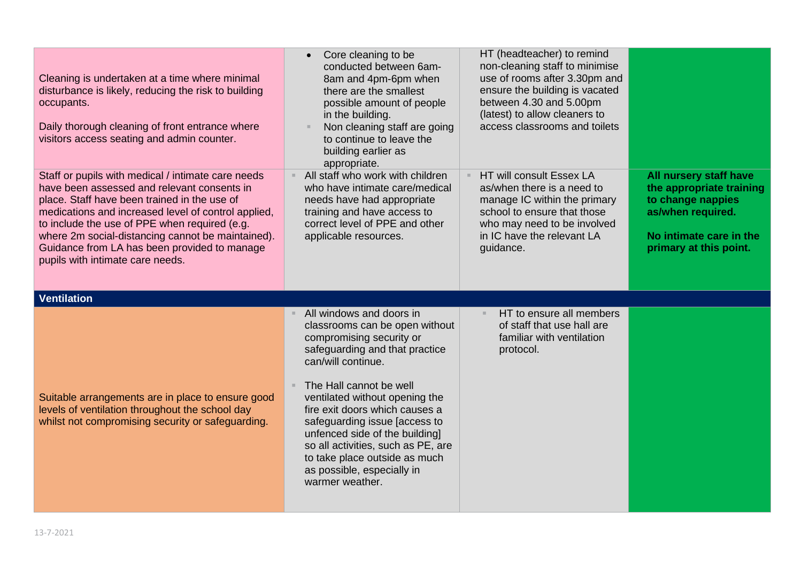| Cleaning is undertaken at a time where minimal<br>disturbance is likely, reducing the risk to building<br>occupants.<br>Daily thorough cleaning of front entrance where<br>visitors access seating and admin counter.                                                                                                                                                                              | Core cleaning to be<br>conducted between 6am-<br>8am and 4pm-6pm when<br>there are the smallest<br>possible amount of people<br>in the building.<br>Non cleaning staff are going<br>to continue to leave the<br>building earlier as<br>appropriate.                                                                                                                                                                                      | HT (headteacher) to remind<br>non-cleaning staff to minimise<br>use of rooms after 3.30pm and<br>ensure the building is vacated<br>between 4.30 and 5.00pm<br>(latest) to allow cleaners to<br>access classrooms and toilets |                                                                                                                                                   |
|----------------------------------------------------------------------------------------------------------------------------------------------------------------------------------------------------------------------------------------------------------------------------------------------------------------------------------------------------------------------------------------------------|------------------------------------------------------------------------------------------------------------------------------------------------------------------------------------------------------------------------------------------------------------------------------------------------------------------------------------------------------------------------------------------------------------------------------------------|------------------------------------------------------------------------------------------------------------------------------------------------------------------------------------------------------------------------------|---------------------------------------------------------------------------------------------------------------------------------------------------|
| Staff or pupils with medical / intimate care needs<br>have been assessed and relevant consents in<br>place. Staff have been trained in the use of<br>medications and increased level of control applied,<br>to include the use of PPE when required (e.g.<br>where 2m social-distancing cannot be maintained).<br>Guidance from LA has been provided to manage<br>pupils with intimate care needs. | All staff who work with children<br>who have intimate care/medical<br>needs have had appropriate<br>training and have access to<br>correct level of PPE and other<br>applicable resources.                                                                                                                                                                                                                                               | HT will consult Essex LA<br>as/when there is a need to<br>manage IC within the primary<br>school to ensure that those<br>who may need to be involved<br>in IC have the relevant LA<br>guidance.                              | All nursery staff have<br>the appropriate training<br>to change nappies<br>as/when required.<br>No intimate care in the<br>primary at this point. |
| <b>Ventilation</b>                                                                                                                                                                                                                                                                                                                                                                                 |                                                                                                                                                                                                                                                                                                                                                                                                                                          |                                                                                                                                                                                                                              |                                                                                                                                                   |
| Suitable arrangements are in place to ensure good<br>levels of ventilation throughout the school day<br>whilst not compromising security or safeguarding.                                                                                                                                                                                                                                          | All windows and doors in<br>classrooms can be open without<br>compromising security or<br>safeguarding and that practice<br>can/will continue.<br>The Hall cannot be well<br>ventilated without opening the<br>fire exit doors which causes a<br>safeguarding issue [access to<br>unfenced side of the building]<br>so all activities, such as PE, are<br>to take place outside as much<br>as possible, especially in<br>warmer weather. | HT to ensure all members<br>of staff that use hall are<br>familiar with ventilation<br>protocol.                                                                                                                             |                                                                                                                                                   |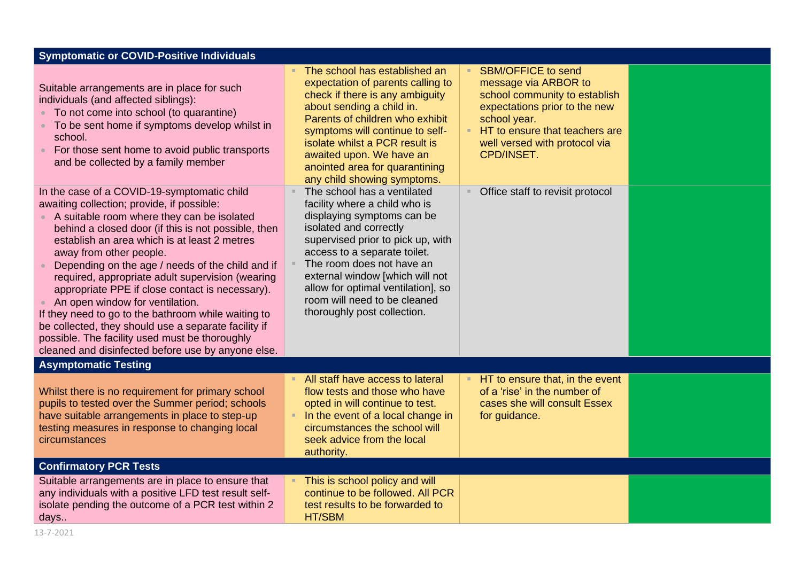| <b>Symptomatic or COVID-Positive Individuals</b>                                                                                                                                                                                                                                                                                                                                                                                                                                                                                                                                                                                                                                               |                                                                                                                                                                                                                                                                                                                                                                      |                                                                                                                                                                                                                      |  |
|------------------------------------------------------------------------------------------------------------------------------------------------------------------------------------------------------------------------------------------------------------------------------------------------------------------------------------------------------------------------------------------------------------------------------------------------------------------------------------------------------------------------------------------------------------------------------------------------------------------------------------------------------------------------------------------------|----------------------------------------------------------------------------------------------------------------------------------------------------------------------------------------------------------------------------------------------------------------------------------------------------------------------------------------------------------------------|----------------------------------------------------------------------------------------------------------------------------------------------------------------------------------------------------------------------|--|
| Suitable arrangements are in place for such<br>individuals (and affected siblings):<br>• To not come into school (to quarantine)<br>• To be sent home if symptoms develop whilst in<br>school.<br>For those sent home to avoid public transports<br>and be collected by a family member                                                                                                                                                                                                                                                                                                                                                                                                        | The school has established an<br>expectation of parents calling to<br>check if there is any ambiguity<br>about sending a child in.<br>Parents of children who exhibit<br>symptoms will continue to self-<br>isolate whilst a PCR result is<br>awaited upon. We have an<br>anointed area for quarantining<br>any child showing symptoms.                              | <b>SBM/OFFICE to send</b><br>message via ARBOR to<br>school community to establish<br>expectations prior to the new<br>school year.<br>HT to ensure that teachers are<br>well versed with protocol via<br>CPD/INSET. |  |
| In the case of a COVID-19-symptomatic child<br>awaiting collection; provide, if possible:<br>A suitable room where they can be isolated<br>behind a closed door (if this is not possible, then<br>establish an area which is at least 2 metres<br>away from other people.<br>Depending on the age / needs of the child and if<br>required, appropriate adult supervision (wearing<br>appropriate PPE if close contact is necessary).<br>An open window for ventilation.<br>If they need to go to the bathroom while waiting to<br>be collected, they should use a separate facility if<br>possible. The facility used must be thoroughly<br>cleaned and disinfected before use by anyone else. | The school has a ventilated<br>×.<br>facility where a child who is<br>displaying symptoms can be<br>isolated and correctly<br>supervised prior to pick up, with<br>access to a separate toilet.<br>The room does not have an<br>external window [which will not<br>allow for optimal ventilation], so<br>room will need to be cleaned<br>thoroughly post collection. | Office staff to revisit protocol                                                                                                                                                                                     |  |
| <b>Asymptomatic Testing</b>                                                                                                                                                                                                                                                                                                                                                                                                                                                                                                                                                                                                                                                                    |                                                                                                                                                                                                                                                                                                                                                                      |                                                                                                                                                                                                                      |  |
| Whilst there is no requirement for primary school<br>pupils to tested over the Summer period; schools<br>have suitable arrangements in place to step-up<br>testing measures in response to changing local<br>circumstances                                                                                                                                                                                                                                                                                                                                                                                                                                                                     | All staff have access to lateral<br>flow tests and those who have<br>opted in will continue to test.<br>In the event of a local change in<br>m.<br>circumstances the school will<br>seek advice from the local<br>authority.                                                                                                                                         | HT to ensure that, in the event<br>of a 'rise' in the number of<br>cases she will consult Essex<br>for guidance.                                                                                                     |  |
| <b>Confirmatory PCR Tests</b>                                                                                                                                                                                                                                                                                                                                                                                                                                                                                                                                                                                                                                                                  |                                                                                                                                                                                                                                                                                                                                                                      |                                                                                                                                                                                                                      |  |
| Suitable arrangements are in place to ensure that<br>any individuals with a positive LFD test result self-<br>isolate pending the outcome of a PCR test within 2<br>days                                                                                                                                                                                                                                                                                                                                                                                                                                                                                                                       | This is school policy and will<br>continue to be followed. All PCR<br>test results to be forwarded to<br>HT/SBM                                                                                                                                                                                                                                                      |                                                                                                                                                                                                                      |  |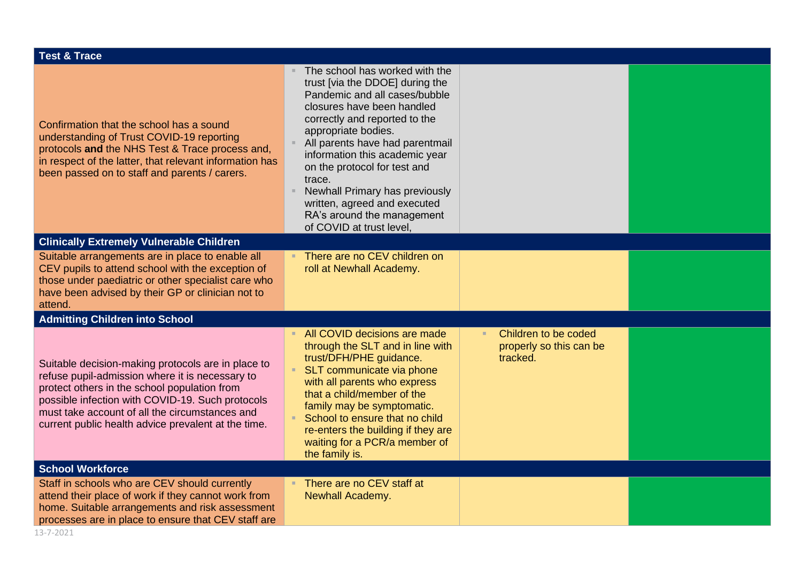| <b>Test &amp; Trace</b>                                                                                                                                                                                                                                                                                            |                                                                                                                                                                                                                                                                                                                                                                                                                                     |                                                             |  |  |
|--------------------------------------------------------------------------------------------------------------------------------------------------------------------------------------------------------------------------------------------------------------------------------------------------------------------|-------------------------------------------------------------------------------------------------------------------------------------------------------------------------------------------------------------------------------------------------------------------------------------------------------------------------------------------------------------------------------------------------------------------------------------|-------------------------------------------------------------|--|--|
| Confirmation that the school has a sound<br>understanding of Trust COVID-19 reporting<br>protocols and the NHS Test & Trace process and,<br>in respect of the latter, that relevant information has<br>been passed on to staff and parents / carers.                                                               | The school has worked with the<br>trust [via the DDOE] during the<br>Pandemic and all cases/bubble<br>closures have been handled<br>correctly and reported to the<br>appropriate bodies.<br>All parents have had parentmail<br>information this academic year<br>on the protocol for test and<br>trace.<br>Newhall Primary has previously<br>written, agreed and executed<br>RA's around the management<br>of COVID at trust level, |                                                             |  |  |
| <b>Clinically Extremely Vulnerable Children</b>                                                                                                                                                                                                                                                                    |                                                                                                                                                                                                                                                                                                                                                                                                                                     |                                                             |  |  |
| Suitable arrangements are in place to enable all<br>CEV pupils to attend school with the exception of<br>those under paediatric or other specialist care who<br>have been advised by their GP or clinician not to<br>attend.                                                                                       | There are no CEV children on<br>roll at Newhall Academy.                                                                                                                                                                                                                                                                                                                                                                            |                                                             |  |  |
| <b>Admitting Children into School</b>                                                                                                                                                                                                                                                                              |                                                                                                                                                                                                                                                                                                                                                                                                                                     |                                                             |  |  |
| Suitable decision-making protocols are in place to<br>refuse pupil-admission where it is necessary to<br>protect others in the school population from<br>possible infection with COVID-19. Such protocols<br>must take account of all the circumstances and<br>current public health advice prevalent at the time. | All COVID decisions are made<br>through the SLT and in line with<br>trust/DFH/PHE guidance.<br>SLT communicate via phone<br>with all parents who express<br>that a child/member of the<br>family may be symptomatic.<br>School to ensure that no child<br>re-enters the building if they are<br>waiting for a PCR/a member of<br>the family is.                                                                                     | Children to be coded<br>properly so this can be<br>tracked. |  |  |
| <b>School Workforce</b>                                                                                                                                                                                                                                                                                            |                                                                                                                                                                                                                                                                                                                                                                                                                                     |                                                             |  |  |
| Staff in schools who are CEV should currently<br>attend their place of work if they cannot work from<br>home. Suitable arrangements and risk assessment<br>processes are in place to ensure that CEV staff are                                                                                                     | There are no CEV staff at<br><b>Newhall Academy.</b>                                                                                                                                                                                                                                                                                                                                                                                |                                                             |  |  |
| 13-7-2021                                                                                                                                                                                                                                                                                                          |                                                                                                                                                                                                                                                                                                                                                                                                                                     |                                                             |  |  |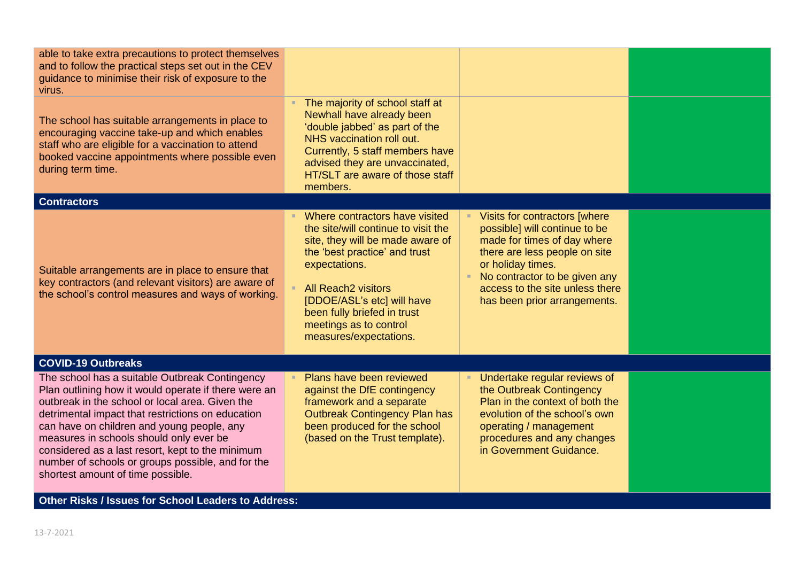| able to take extra precautions to protect themselves<br>and to follow the practical steps set out in the CEV<br>guidance to minimise their risk of exposure to the<br>virus.                                                                                                                                                                                                                                                                          |                                                                                                                                                                                                                                                                                                            |                                                                                                                                                                                                                                                         |  |
|-------------------------------------------------------------------------------------------------------------------------------------------------------------------------------------------------------------------------------------------------------------------------------------------------------------------------------------------------------------------------------------------------------------------------------------------------------|------------------------------------------------------------------------------------------------------------------------------------------------------------------------------------------------------------------------------------------------------------------------------------------------------------|---------------------------------------------------------------------------------------------------------------------------------------------------------------------------------------------------------------------------------------------------------|--|
| The school has suitable arrangements in place to<br>encouraging vaccine take-up and which enables<br>staff who are eligible for a vaccination to attend<br>booked vaccine appointments where possible even<br>during term time.                                                                                                                                                                                                                       | The majority of school staff at<br>Newhall have already been<br>'double jabbed' as part of the<br>NHS vaccination roll out.<br>Currently, 5 staff members have<br>advised they are unvaccinated,<br>HT/SLT are aware of those staff<br>members.                                                            |                                                                                                                                                                                                                                                         |  |
| <b>Contractors</b>                                                                                                                                                                                                                                                                                                                                                                                                                                    |                                                                                                                                                                                                                                                                                                            |                                                                                                                                                                                                                                                         |  |
| Suitable arrangements are in place to ensure that<br>key contractors (and relevant visitors) are aware of<br>the school's control measures and ways of working.                                                                                                                                                                                                                                                                                       | Where contractors have visited<br>the site/will continue to visit the<br>site, they will be made aware of<br>the 'best practice' and trust<br>expectations.<br><b>All Reach2 visitors</b><br>[DDOE/ASL's etc] will have<br>been fully briefed in trust<br>meetings as to control<br>measures/expectations. | Visits for contractors [where<br>possible] will continue to be<br>made for times of day where<br>there are less people on site<br>or holiday times.<br>No contractor to be given any<br>access to the site unless there<br>has been prior arrangements. |  |
| <b>COVID-19 Outbreaks</b>                                                                                                                                                                                                                                                                                                                                                                                                                             |                                                                                                                                                                                                                                                                                                            |                                                                                                                                                                                                                                                         |  |
| The school has a suitable Outbreak Contingency<br>Plan outlining how it would operate if there were an<br>outbreak in the school or local area. Given the<br>detrimental impact that restrictions on education<br>can have on children and young people, any<br>measures in schools should only ever be<br>considered as a last resort, kept to the minimum<br>number of schools or groups possible, and for the<br>shortest amount of time possible. | Plans have been reviewed<br>against the DfE contingency<br>framework and a separate<br><b>Outbreak Contingency Plan has</b><br>been produced for the school<br>(based on the Trust template).                                                                                                              | Undertake regular reviews of<br>the Outbreak Contingency<br>Plan in the context of both the<br>evolution of the school's own<br>operating / management<br>procedures and any changes<br>in Government Guidance.                                         |  |
| <b>Other Risks / Issues for School Leaders to Address:</b>                                                                                                                                                                                                                                                                                                                                                                                            |                                                                                                                                                                                                                                                                                                            |                                                                                                                                                                                                                                                         |  |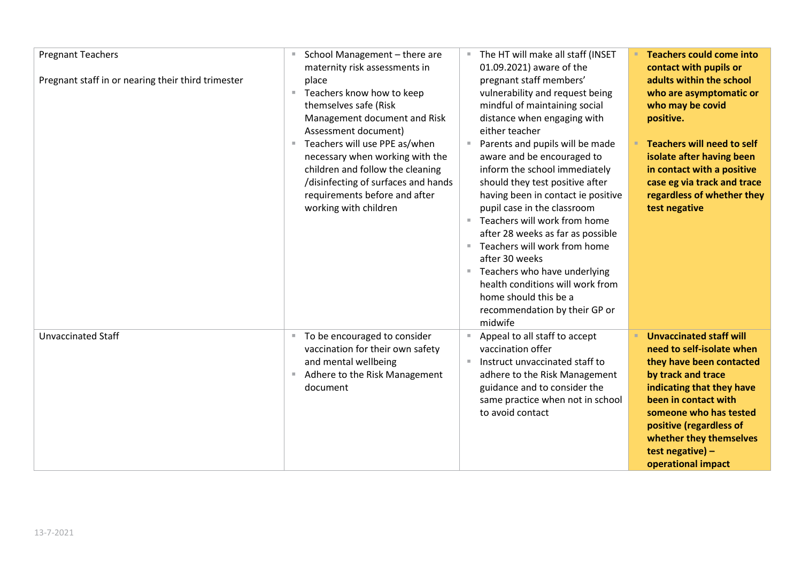| <b>Pregnant Teachers</b><br>Pregnant staff in or nearing their third trimester | School Management - there are<br>$\mathbb{R}^n$<br>maternity risk assessments in<br>place<br>Teachers know how to keep<br>×.<br>themselves safe (Risk<br>Management document and Risk<br>Assessment document)<br>Teachers will use PPE as/when<br>necessary when working with the<br>children and follow the cleaning<br>/disinfecting of surfaces and hands<br>requirements before and after<br>working with children | The HT will make all staff (INSET<br>01.09.2021) aware of the<br>pregnant staff members'<br>vulnerability and request being<br>mindful of maintaining social<br>distance when engaging with<br>either teacher<br>Parents and pupils will be made<br>aware and be encouraged to<br>inform the school immediately<br>should they test positive after<br>having been in contact ie positive<br>pupil case in the classroom<br>Teachers will work from home<br>$\mathbb{R}^n$<br>after 28 weeks as far as possible<br>Teachers will work from home<br>m.<br>after 30 weeks<br>Teachers who have underlying<br>$\blacksquare$<br>health conditions will work from<br>home should this be a<br>recommendation by their GP or | <b>Teachers could come into</b><br>contact with pupils or<br>adults within the school<br>who are asymptomatic or<br>who may be covid<br>positive.<br><b>Teachers will need to self</b><br>isolate after having been<br>in contact with a positive<br>case eg via track and trace<br>regardless of whether they<br>test negative |
|--------------------------------------------------------------------------------|------------------------------------------------------------------------------------------------------------------------------------------------------------------------------------------------------------------------------------------------------------------------------------------------------------------------------------------------------------------------------------------------------------------------|------------------------------------------------------------------------------------------------------------------------------------------------------------------------------------------------------------------------------------------------------------------------------------------------------------------------------------------------------------------------------------------------------------------------------------------------------------------------------------------------------------------------------------------------------------------------------------------------------------------------------------------------------------------------------------------------------------------------|---------------------------------------------------------------------------------------------------------------------------------------------------------------------------------------------------------------------------------------------------------------------------------------------------------------------------------|
| <b>Unvaccinated Staff</b>                                                      | To be encouraged to consider<br>$\mathbb{R}^+$<br>vaccination for their own safety<br>and mental wellbeing<br>Adhere to the Risk Management<br>document                                                                                                                                                                                                                                                                | midwife<br>Appeal to all staff to accept<br>vaccination offer<br>Instruct unvaccinated staff to<br>$\mathbb{R}^n$<br>adhere to the Risk Management<br>guidance and to consider the<br>same practice when not in school<br>to avoid contact                                                                                                                                                                                                                                                                                                                                                                                                                                                                             | <b>Unvaccinated staff will</b><br>need to self-isolate when<br>they have been contacted<br>by track and trace<br>indicating that they have<br>been in contact with<br>someone who has tested<br>positive (regardless of<br>whether they themselves<br>test negative) -<br>operational impact                                    |